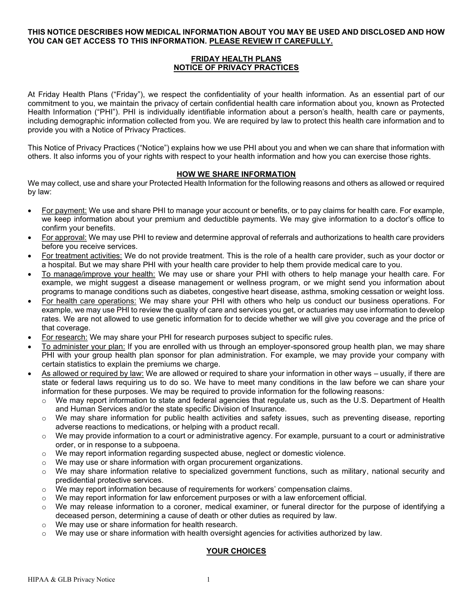## **THIS NOTICE DESCRIBES HOW MEDICAL INFORMATION ABOUT YOU MAY BE USED AND DISCLOSED AND HOW YOU CAN GET ACCESS TO THIS INFORMATION. PLEASE REVIEW IT CAREFULLY.**

# **FRIDAY HEALTH PLANS NOTICE OF PRIVACY PRACTICES**

At Friday Health Plans ("Friday"), we respect the confidentiality of your health information. As an essential part of our commitment to you, we maintain the privacy of certain confidential health care information about you, known as Protected Health Information ("PHI"). PHI is individually identifiable information about a person's health, health care or payments, including demographic information collected from you. We are required by law to protect this health care information and to provide you with a Notice of Privacy Practices.

This Notice of Privacy Practices ("Notice") explains how we use PHI about you and when we can share that information with others. It also informs you of your rights with respect to your health information and how you can exercise those rights.

# **HOW WE SHARE INFORMATION**

We may collect, use and share your Protected Health Information for the following reasons and others as allowed or required by law:

- For payment: We use and share PHI to manage your account or benefits, or to pay claims for health care. For example, we keep information about your premium and deductible payments. We may give information to a doctor's office to confirm your benefits.
- For approval: We may use PHI to review and determine approval of referrals and authorizations to health care providers before you receive services.
- For treatment activities: We do not provide treatment. This is the role of a health care provider, such as your doctor or a hospital. But we may share PHI with your health care provider to help them provide medical care to you.
- To manage/improve your health: We may use or share your PHI with others to help manage your health care. For example, we might suggest a disease management or wellness program, or we might send you information about programs to manage conditions such as diabetes, congestive heart disease, asthma, smoking cessation or weight loss.
- For health care operations: We may share your PHI with others who help us conduct our business operations. For example, we may use PHI to review the quality of care and services you get, or actuaries may use information to develop rates. We are not allowed to use genetic information for to decide whether we will give you coverage and the price of that coverage.
- For research: We may share your PHI for research purposes subject to specific rules.
- To administer your plan: If you are enrolled with us through an employer-sponsored group health plan, we may share PHI with your group health plan sponsor for plan administration. For example, we may provide your company with certain statistics to explain the premiums we charge.
- As allowed or required by law: We are allowed or required to share your information in other ways usually, if there are state or federal laws requiring us to do so. We have to meet many conditions in the law before we can share your information for these purposes. We may be required to provide information for the following reasons*:*
	- $\circ$  We may report information to state and federal agencies that regulate us, such as the U.S. Department of Health and Human Services and/or the state specific Division of Insurance.
	- $\circ$  We may share information for public health activities and safety issues, such as preventing disease, reporting adverse reactions to medications, or helping with a product recall.
	- o We may provide information to a court or administrative agency. For example, pursuant to a court or administrative order, or in response to a subpoena.
	- $\circ$  We may report information regarding suspected abuse, neglect or domestic violence.
	- o We may use or share information with organ procurement organizations.
	- o We may share information relative to specialized government functions, such as military, national security and predidential protective services.
	- $\circ$  We may report information because of requirements for workers' compensation claims.
	- $\circ$  We may report information for law enforcement purposes or with a law enforcement official.
	- $\circ$  We may release information to a coroner, medical examiner, or funeral director for the purpose of identifying a deceased person, determining a cause of death or other duties as required by law.
	- o We may use or share information for health research.
	- $\circ$  We may use or share information with health oversight agencies for activities authorized by law.

# **YOUR CHOICES**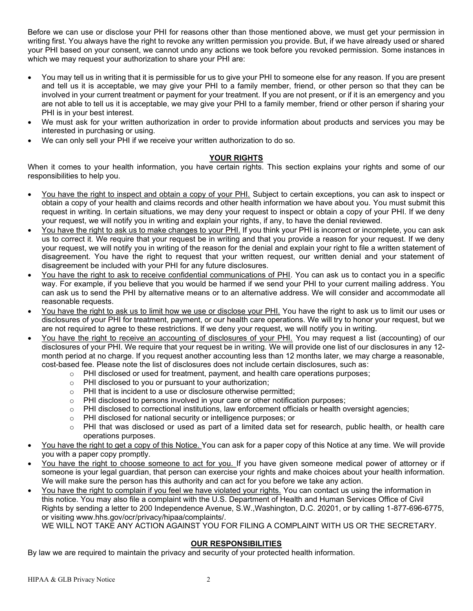Before we can use or disclose your PHI for reasons other than those mentioned above, we must get your permission in writing first. You always have the right to revoke any written permission you provide. But, if we have already used or shared your PHI based on your consent, we cannot undo any actions we took before you revoked permission. Some instances in which we may request your authorization to share your PHI are:

- You may tell us in writing that it is permissible for us to give your PHI to someone else for any reason. If you are present and tell us it is acceptable, we may give your PHI to a family member, friend, or other person so that they can be involved in your current treatment or payment for your treatment. If you are not present, or if it is an emergency and you are not able to tell us it is acceptable, we may give your PHI to a family member, friend or other person if sharing your PHI is in your best interest.
- We must ask for your written authorization in order to provide information about products and services you may be interested in purchasing or using.
- We can only sell your PHI if we receive your written authorization to do so.

## **YOUR RIGHTS**

When it comes to your health information, you have certain rights. This section explains your rights and some of our responsibilities to help you.

- You have the right to inspect and obtain a copy of your PHI. Subject to certain exceptions, you can ask to inspect or obtain a copy of your health and claims records and other health information we have about you. You must submit this request in writing. In certain situations, we may deny your request to inspect or obtain a copy of your PHI. If we deny your request, we will notify you in writing and explain your rights, if any, to have the denial reviewed.
- You have the right to ask us to make changes to your PHI. If you think your PHI is incorrect or incomplete, you can ask us to correct it. We require that your request be in writing and that you provide a reason for your request. If we deny your request, we will notify you in writing of the reason for the denial and explain your right to file a written statement of disagreement. You have the right to request that your written request, our written denial and your statement of disagreement be included with your PHI for any future disclosures.
- You have the right to ask to receive confidential communications of PHI. You can ask us to contact you in a specific way. For example, if you believe that you would be harmed if we send your PHI to your current mailing address. You can ask us to send the PHI by alternative means or to an alternative address. We will consider and accommodate all reasonable requests.
- You have the right to ask us to limit how we use or disclose your PHI. You have the right to ask us to limit our uses or disclosures of your PHI for treatment, payment, or our health care operations. We will try to honor your request, but we are not required to agree to these restrictions. If we deny your request, we will notify you in writing.
- You have the right to receive an accounting of disclosures of your PHI. You may request a list (accounting) of our disclosures of your PHI. We require that your request be in writing. We will provide one list of our disclosures in any 12 month period at no charge. If you request another accounting less than 12 months later, we may charge a reasonable, cost-based fee. Please note the list of disclosures does not include certain disclosures, such as:
	- $\circ$  PHI disclosed or used for treatment, payment, and health care operations purposes;
	- o PHI disclosed to you or pursuant to your authorization;
	- o PHI that is incident to a use or disclosure otherwise permitted;
	- $\circ$  PHI disclosed to persons involved in your care or other notification purposes;
	- $\circ$  PHI disclosed to correctional institutions, law enforcement officials or health oversight agencies;
	- o PHI disclosed for national security or intelligence purposes; or
	- o PHI that was disclosed or used as part of a limited data set for research, public health, or health care operations purposes.
- You have the right to get a copy of this Notice. You can ask for a paper copy of this Notice at any time. We will provide you with a paper copy promptly.
- You have the right to choose someone to act for you. If you have given someone medical power of attorney or if someone is your legal guardian, that person can exercise your rights and make choices about your health information. We will make sure the person has this authority and can act for you before we take any action.
- You have the right to complain if you feel we have violated your rights. You can contact us using the information in this notice. You may also file a complaint with the U.S. Department of Health and Human Services Office of Civil Rights by sending a letter to 200 Independence Avenue, S.W.,Washington, D.C. 20201, or by calling 1-877-696-6775, or visiting www.hhs.gov/ocr/privacy/hipaa/complaints/.

WE WILL NOT TAKE ANY ACTION AGAINST YOU FOR FILING A COMPLAINT WITH US OR THE SECRETARY.

# **OUR RESPONSIBILITIES**

By law we are required to maintain the privacy and security of your protected health information.